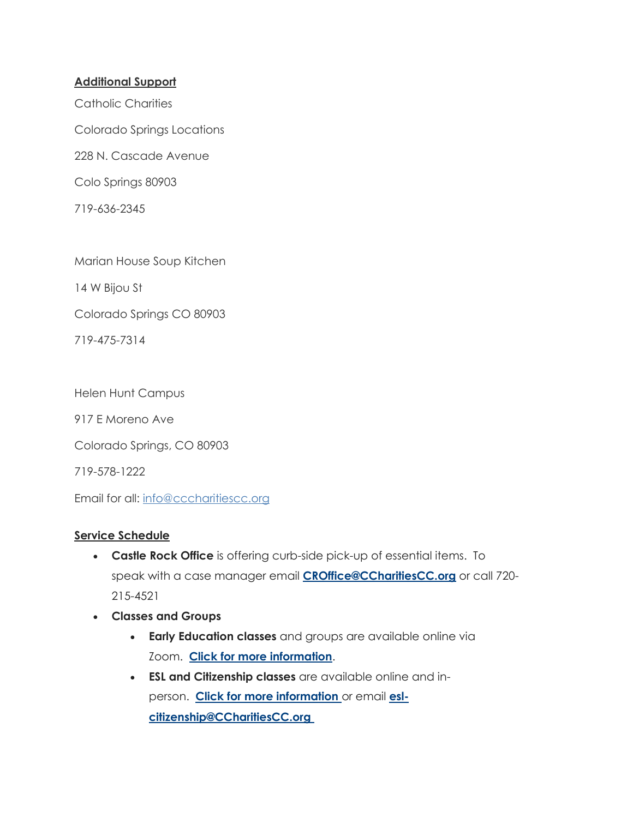## **Additional Support**

Catholic Charities

Colorado Springs Locations

228 N. Cascade Avenue

Colo Springs 80903

719-636-2345

Marian House Soup Kitchen

14 W Bijou St

Colorado Springs CO 80903

719-475-7314

Helen Hunt Campus

917 E Moreno Ave

Colorado Springs, CO 80903

719-578-1222

Email for all: [info@cccharitiescc.org](mailto:info@cccharitiescc.org)

## **Service Schedule**

- **Castle Rock Office** is offering curb-side pick-up of essential items. To speak with a case manager email **[CROffice@CCharitiesCC.org](mailto:CROffice@CCharitiesCC.org)** or call 720- 215-4521
- **Classes and Groups**
	- **Early Education classes** and groups are available online via Zoom. **[Click for more information](https://www.ccharitiescc.org/family-services/free-educational-enrichment-classes-for-families/)**.
	- **ESL and Citizenship classes** are available online and inperson. **[Click for more information](https://www.ccharitiescc.org/paths-to-opportunity/esl-citizenship-classes/)** or email **[esl](mailto:esl-citizenship@CCharitiesCC.org)[citizenship@CCharitiesCC.org](mailto:esl-citizenship@CCharitiesCC.org)**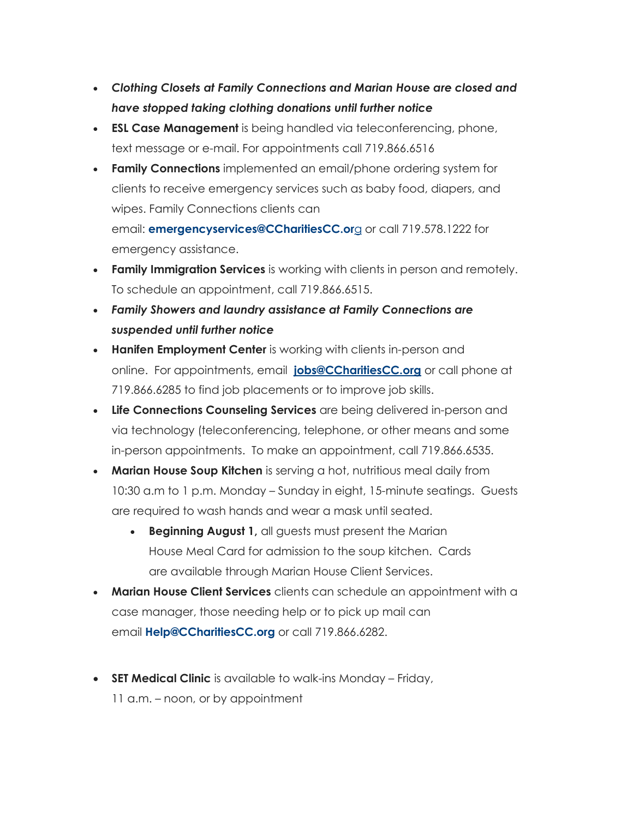- *Clothing Closets at Family Connections and Marian House are closed and have stopped taking clothing donations until further notice*
- **ESL Case Management** is being handled via teleconferencing, phone, text message or e-mail. For appointments call 719.866.6516
- **Family Connections** implemented an email/phone ordering system for clients to receive emergency services such as baby food, diapers, and wipes. Family Connections clients can email: **[emergencyservices@CCharitiesCC.or](mailto:emergencyservices@CCharitiesCC.org)**g or call 719.578.1222 for emergency assistance.
- **Family Immigration Services** is working with clients in person and remotely. To schedule an appointment, call 719.866.6515.
- *Family Showers and laundry assistance at Family Connections are suspended until further notice*
- **Hanifen Employment Center** is working with clients in-person and online. For appointments, email **[jobs@CCharitiesCC.org](mailto:jobs@CCharitiesCC.org)** or call phone at 719.866.6285 to find job placements or to improve job skills.
- **Life Connections Counseling Services** are being delivered in-person and via technology (teleconferencing, telephone, or other means and some in-person appointments. To make an appointment, call 719.866.6535.
- **Marian House Soup Kitchen** is serving a hot, nutritious meal daily from 10:30 a.m to 1 p.m. Monday – Sunday in eight, 15-minute seatings. Guests are required to wash hands and wear a mask until seated.
	- **Beginning August 1,** all guests must present the Marian House Meal Card for admission to the soup kitchen. Cards are available through Marian House Client Services.
- **Marian House Client Services** clients can schedule an appointment with a case manager, those needing help or to pick up mail can email **[Help@CCharitiesCC.org](mailto:Help@CCharitiesCC.org)** or call 719.866.6282.
- **SET Medical Clinic** is available to walk-ins Monday Friday, 11 a.m. – noon, or by appointment